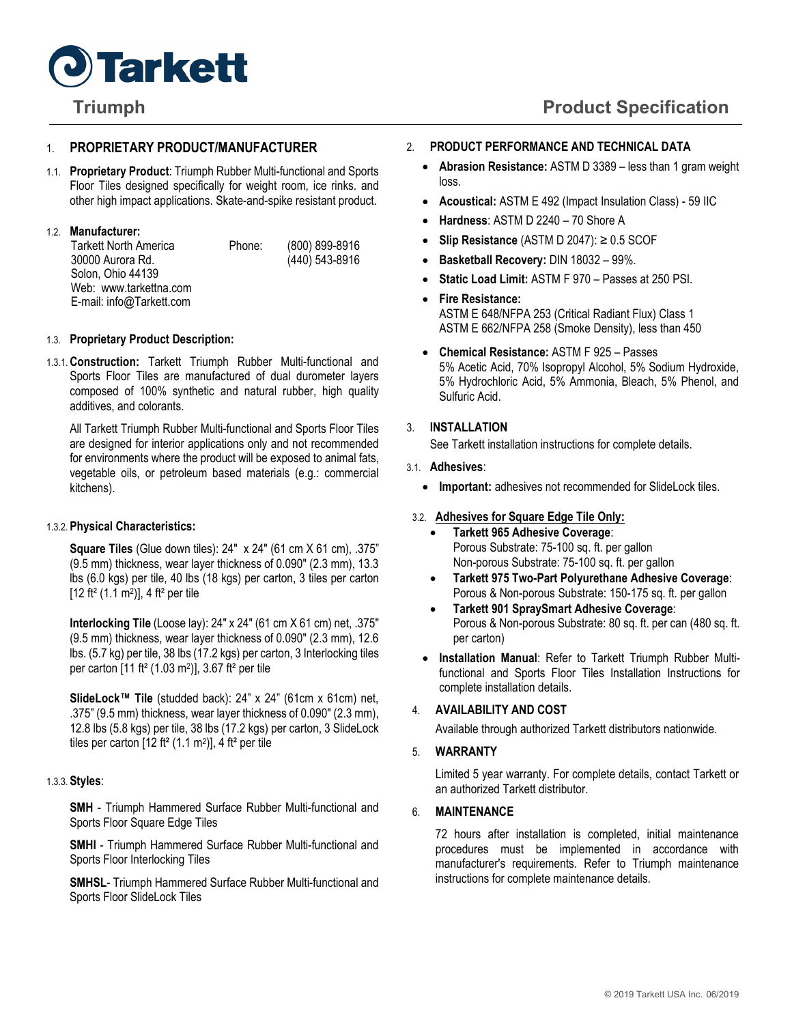

## 1. **PROPRIETARY PRODUCT/MANUFACTURER**

1.1. **Proprietary Product**: Triumph Rubber Multi-functional and Sports Floor Tiles designed specifically for weight room, ice rinks. and other high impact applications. Skate-and-spike resistant product.

## 1.2. **Manufacturer:**

| Tarkett North America    | Phone: | (800) 899-8916 |
|--------------------------|--------|----------------|
| 30000 Aurora Rd.         |        | (440) 543-8916 |
| Solon. Ohio 44139        |        |                |
| Web: www.tarkettna.com   |        |                |
| E-mail: info@Tarkett.com |        |                |

### 1.3. **Proprietary Product Description:**

1.3.1.**Construction:** Tarkett Triumph Rubber Multi-functional and Sports Floor Tiles are manufactured of dual durometer layers composed of 100% synthetic and natural rubber, high quality additives, and colorants.

All Tarkett Triumph Rubber Multi-functional and Sports Floor Tiles are designed for interior applications only and not recommended for environments where the product will be exposed to animal fats, vegetable oils, or petroleum based materials (e.g.: commercial kitchens).

## 1.3.2. **Physical Characteristics:**

**Square Tiles** (Glue down tiles): 24" x 24" (61 cm X 61 cm), .375" (9.5 mm) thickness, wear layer thickness of 0.090" (2.3 mm), 13.3 lbs (6.0 kgs) per tile, 40 lbs (18 kgs) per carton, 3 tiles per carton  $[12 ft<sup>2</sup> (1.1 m<sup>2</sup>)]$ , 4 ft<sup>2</sup> per tile

**Interlocking Tile** (Loose lay): 24″ x 24″ (61 cm X 61 cm) net, .375" (9.5 mm) thickness, wear layer thickness of 0.090" (2.3 mm), 12.6 lbs. (5.7 kg) per tile, 38 lbs (17.2 kgs) per carton, 3 Interlocking tiles per carton [11 ft² (1.03 m2)], 3.67 ft² per tile

**SlideLock™ Tile** (studded back): 24" x 24" (61cm x 61cm) net, .375" (9.5 mm) thickness, wear layer thickness of 0.090" (2.3 mm), 12.8 lbs (5.8 kgs) per tile, 38 lbs (17.2 kgs) per carton, 3 SlideLock tiles per carton  $[12 ft<sup>2</sup> (1.1 m<sup>2</sup>)]$ , 4 ft<sup>2</sup> per tile

## 1.3.3. **Styles**:

**SMH** - Triumph Hammered Surface Rubber Multi-functional and Sports Floor Square Edge Tiles

**SMHI** - Triumph Hammered Surface Rubber Multi-functional and Sports Floor Interlocking Tiles

**SMHSL**- Triumph Hammered Surface Rubber Multi-functional and Sports Floor SlideLock Tiles

#### 2. **PRODUCT PERFORMANCE AND TECHNICAL DATA**

- **Abrasion Resistance:** ASTM D 3389 less than 1 gram weight loss.
- **Acoustical:** ASTM E 492 (Impact Insulation Class) 59 IIC
- **Hardness**: ASTM D 2240 70 Shore A
- **Slip Resistance** (ASTM D 2047): ≥ 0.5 SCOF
- **Basketball Recovery:** DIN 18032 99%.
- **Static Load Limit:** ASTM F 970 Passes at 250 PSI.
- **Fire Resistance:** ASTM E 648/NFPA 253 (Critical Radiant Flux) Class 1 ASTM E 662/NFPA 258 (Smoke Density), less than 450
- **Chemical Resistance:** ASTM F 925 Passes 5% Acetic Acid, 70% Isopropyl Alcohol, 5% Sodium Hydroxide, 5% Hydrochloric Acid, 5% Ammonia, Bleach, 5% Phenol, and Sulfuric Acid.

## 3. **INSTALLATION**

See Tarkett installation instructions for complete details.

#### 3.1. **Adhesives**:

• **Important:** adhesives not recommended for SlideLock tiles.

## 3.2. **Adhesives for Square Edge Tile Only:**

- **Tarkett 965 Adhesive Coverage**: Porous Substrate: 75-100 sq. ft. per gallon Non-porous Substrate: 75-100 sq. ft. per gallon
- **Tarkett 975 Two-Part Polyurethane Adhesive Coverage**: Porous & Non-porous Substrate: 150-175 sq. ft. per gallon
- **Tarkett 901 SpraySmart Adhesive Coverage**: Porous & Non-porous Substrate: 80 sq. ft. per can (480 sq. ft. per carton)
- **Installation Manual**: Refer to Tarkett Triumph Rubber Multifunctional and Sports Floor Tiles Installation Instructions for complete installation details.

## 4. **AVAILABILITY AND COST**

Available through authorized Tarkett distributors nationwide.

#### 5. **WARRANTY**

Limited 5 year warranty. For complete details, contact Tarkett or an authorized Tarkett distributor.

# 6. **MAINTENANCE**

72 hours after installation is completed, initial maintenance procedures must be implemented in accordance with manufacturer's requirements. Refer to Triumph maintenance instructions for complete maintenance details.